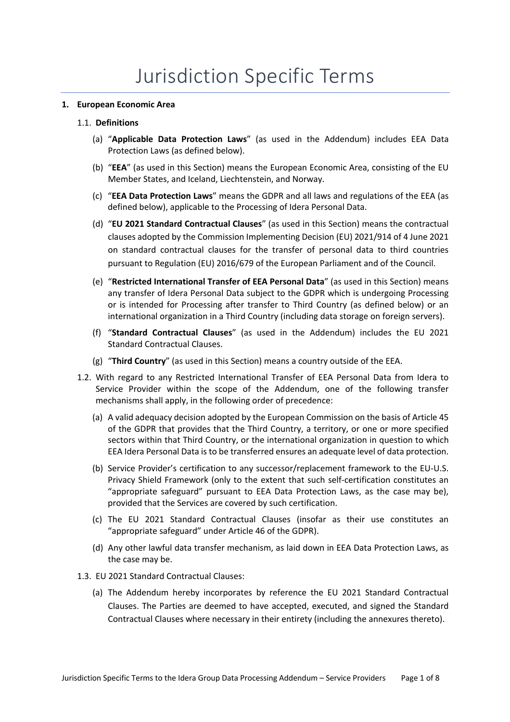### **1. European Economic Area**

- (a) "**Applicable Data Protection Laws**" (as used in the Addendum) includes EEA Data Protection Laws (as defined below).
- (b) "**EEA**" (as used in this Section) means the European Economic Area, consisting of the EU Member States, and Iceland, Liechtenstein, and Norway.
- (c) "**EEA Data Protection Laws**" means the GDPR and all laws and regulations of the EEA (as defined below), applicable to the Processing of Idera Personal Data.
- (d) "**EU 2021 Standard Contractual Clauses**" (as used in this Section) means the contractual clauses adopted by the Commission Implementing Decision (EU) 2021/914 of 4 June 2021 on standard contractual clauses for the transfer of personal data to third countries pursuant to Regulation (EU) 2016/679 of the European Parliament and of the Council.
- (e) "**Restricted International Transfer of EEA Personal Data**" (as used in this Section) means any transfer of Idera Personal Data subject to the GDPR which is undergoing Processing or is intended for Processing after transfer to Third Country (as defined below) or an international organization in a Third Country (including data storage on foreign servers).
- (f) "**Standard Contractual Clauses**" (as used in the Addendum) includes the EU 2021 Standard Contractual Clauses.
- (g) "**Third Country**" (as used in this Section) means a country outside of the EEA.
- 1.2. With regard to any Restricted International Transfer of EEA Personal Data from Idera to Service Provider within the scope of the Addendum, one of the following transfer mechanisms shall apply, in the following order of precedence:
	- (a) A valid adequacy decision adopted by the European Commission on the basis of Article 45 of the GDPR that provides that the Third Country, a territory, or one or more specified sectors within that Third Country, or the international organization in question to which EEA Idera Personal Data is to be transferred ensures an adequate level of data protection.
	- (b) Service Provider's certification to any successor/replacement framework to the EU-U.S. Privacy Shield Framework (only to the extent that such self-certification constitutes an "appropriate safeguard" pursuant to EEA Data Protection Laws, as the case may be), provided that the Services are covered by such certification.
	- (c) The EU 2021 Standard Contractual Clauses (insofar as their use constitutes an "appropriate safeguard" under Article 46 of the GDPR).
	- (d) Any other lawful data transfer mechanism, as laid down in EEA Data Protection Laws, as the case may be.
- 1.3. EU 2021 Standard Contractual Clauses:
	- (a) The Addendum hereby incorporates by reference the EU 2021 Standard Contractual Clauses. The Parties are deemed to have accepted, executed, and signed the Standard Contractual Clauses where necessary in their entirety (including the annexures thereto).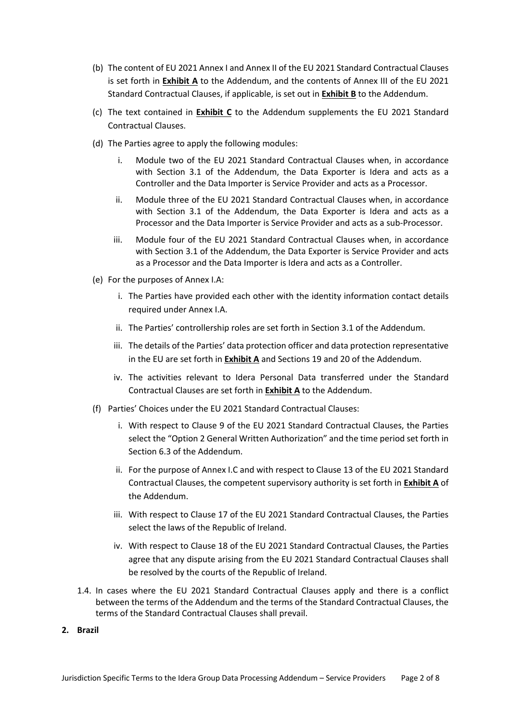- (b) The content of EU 2021 Annex I and Annex II of the EU 2021 Standard Contractual Clauses is set forth in **Exhibit A** to the Addendum, and the contents of Annex III of the EU 2021 Standard Contractual Clauses, if applicable, is set out in **Exhibit B** to the Addendum.
- (c) The text contained in **Exhibit C** to the Addendum supplements the EU 2021 Standard Contractual Clauses.
- (d) The Parties agree to apply the following modules:
	- i. Module two of the EU 2021 Standard Contractual Clauses when, in accordance with Section 3.1 of the Addendum, the Data Exporter is Idera and acts as a Controller and the Data Importer is Service Provider and acts as a Processor.
	- ii. Module three of the EU 2021 Standard Contractual Clauses when, in accordance with Section 3.1 of the Addendum, the Data Exporter is Idera and acts as a Processor and the Data Importer is Service Provider and acts as a sub-Processor.
	- iii. Module four of the EU 2021 Standard Contractual Clauses when, in accordance with Section 3.1 of the Addendum, the Data Exporter is Service Provider and acts as a Processor and the Data Importer is Idera and acts as a Controller.
- (e) For the purposes of Annex I.A:
	- i. The Parties have provided each other with the identity information contact details required under Annex I.A.
	- ii. The Parties' controllership roles are set forth in Section 3.1 of the Addendum.
	- iii. The details of the Parties' data protection officer and data protection representative in the EU are set forth in **Exhibit A** and Sections 19 and 20 of the Addendum.
	- iv. The activities relevant to Idera Personal Data transferred under the Standard Contractual Clauses are set forth in **Exhibit A** to the Addendum.
- (f) Parties' Choices under the EU 2021 Standard Contractual Clauses:
	- i. With respect to Clause 9 of the EU 2021 Standard Contractual Clauses, the Parties select the "Option 2 General Written Authorization" and the time period set forth in Section 6.3 of the Addendum.
	- ii. For the purpose of Annex I.C and with respect to Clause 13 of the EU 2021 Standard Contractual Clauses, the competent supervisory authority is set forth in **Exhibit A** of the Addendum.
	- iii. With respect to Clause 17 of the EU 2021 Standard Contractual Clauses, the Parties select the laws of the Republic of Ireland.
	- iv. With respect to Clause 18 of the EU 2021 Standard Contractual Clauses, the Parties agree that any dispute arising from the EU 2021 Standard Contractual Clauses shall be resolved by the courts of the Republic of Ireland.
- 1.4. In cases where the EU 2021 Standard Contractual Clauses apply and there is a conflict between the terms of the Addendum and the terms of the Standard Contractual Clauses, the terms of the Standard Contractual Clauses shall prevail.
- **2. Brazil**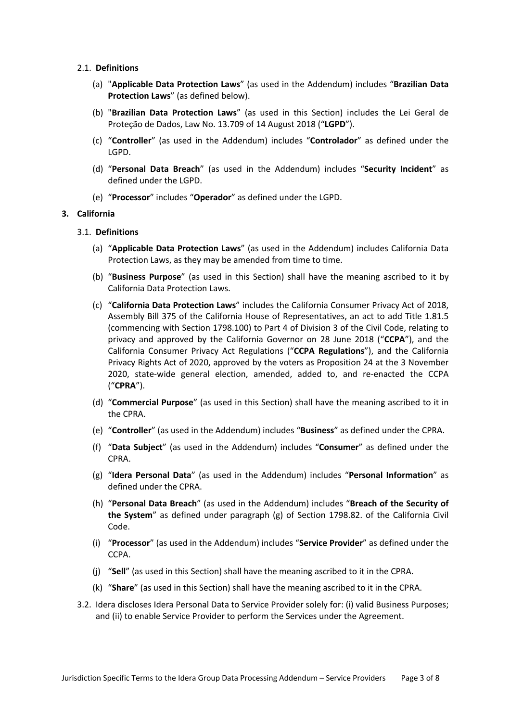- 2.1. **Definitions**
	- (a) "**Applicable Data Protection Laws**" (as used in the Addendum) includes "**Brazilian Data Protection Laws**" (as defined below).
	- (b) "**Brazilian Data Protection Laws**" (as used in this Section) includes the Lei Geral de Proteção de Dados, Law No. 13.709 of 14 August 2018 ("**LGPD**").
	- (c) "**Controller**" (as used in the Addendum) includes "**Controlador**" as defined under the LGPD.
	- (d) "**Personal Data Breach**" (as used in the Addendum) includes "**Security Incident**" as defined under the LGPD.
	- (e) "**Processor**" includes "**Operador**" as defined under the LGPD.

### **3. California**

- (a) "**Applicable Data Protection Laws**" (as used in the Addendum) includes California Data Protection Laws, as they may be amended from time to time.
- (b) "**Business Purpose**" (as used in this Section) shall have the meaning ascribed to it by California Data Protection Laws.
- (c) "**California Data Protection Laws**" includes the California Consumer Privacy Act of 2018, Assembly Bill 375 of the California House of Representatives, an act to add Title 1.81.5 (commencing with Section 1798.100) to Part 4 of Division 3 of the Civil Code, relating to privacy and approved by the California Governor on 28 June 2018 ("**CCPA**"), and the California Consumer Privacy Act Regulations ("**CCPA Regulations**"), and the California Privacy Rights Act of 2020, approved by the voters as Proposition 24 at the 3 November 2020, state-wide general election, amended, added to, and re-enacted the CCPA ("**CPRA**").
- (d) "**Commercial Purpose**" (as used in this Section) shall have the meaning ascribed to it in the CPRA.
- (e) "**Controller**" (as used in the Addendum) includes "**Business**" as defined under the CPRA.
- (f) "**Data Subject**" (as used in the Addendum) includes "**Consumer**" as defined under the CPRA.
- (g) "**Idera Personal Data**" (as used in the Addendum) includes "**Personal Information**" as defined under the CPRA.
- (h) "**Personal Data Breach**" (as used in the Addendum) includes "**Breach of the Security of the System**" as defined under paragraph (g) of Section 1798.82. of the California Civil Code.
- (i) "**Processor**" (as used in the Addendum) includes "**Service Provider**" as defined under the CCPA.
- (j) "**Sell**" (as used in this Section) shall have the meaning ascribed to it in the CPRA.
- (k) "**Share**" (as used in this Section) shall have the meaning ascribed to it in the CPRA.
- 3.2. Idera discloses Idera Personal Data to Service Provider solely for: (i) valid Business Purposes; and (ii) to enable Service Provider to perform the Services under the Agreement.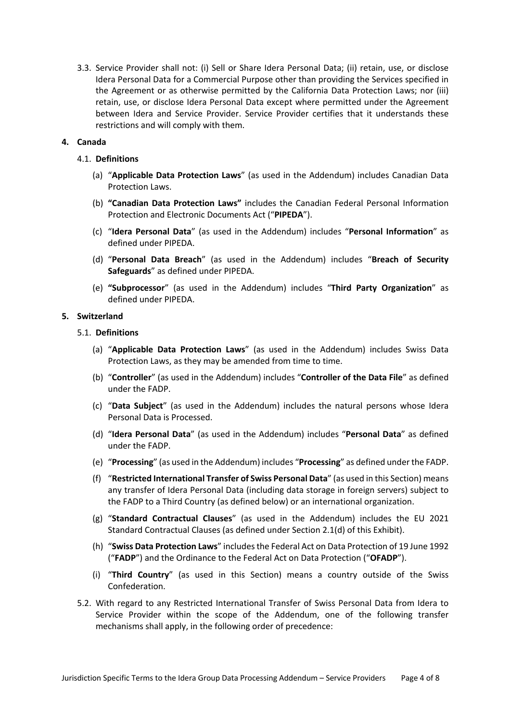3.3. Service Provider shall not: (i) Sell or Share Idera Personal Data; (ii) retain, use, or disclose Idera Personal Data for a Commercial Purpose other than providing the Services specified in the Agreement or as otherwise permitted by the California Data Protection Laws; nor (iii) retain, use, or disclose Idera Personal Data except where permitted under the Agreement between Idera and Service Provider. Service Provider certifies that it understands these restrictions and will comply with them.

# **4. Canada**

### 4.1. **Definitions**

- (a) "**Applicable Data Protection Laws**" (as used in the Addendum) includes Canadian Data Protection Laws.
- (b) **"Canadian Data Protection Laws"** includes the Canadian Federal Personal Information Protection and Electronic Documents Act ("**PIPEDA**").
- (c) "**Idera Personal Data**" (as used in the Addendum) includes "**Personal Information**" as defined under PIPEDA.
- (d) "**Personal Data Breach**" (as used in the Addendum) includes "**Breach of Security Safeguards**" as defined under PIPEDA.
- (e) **"Subprocessor**" (as used in the Addendum) includes "**Third Party Organization**" as defined under PIPEDA.

#### **5. Switzerland**

- (a) "**Applicable Data Protection Laws**" (as used in the Addendum) includes Swiss Data Protection Laws, as they may be amended from time to time.
- (b) "**Controller**" (as used in the Addendum) includes "**Controller of the Data File**" as defined under the FADP.
- (c) "**Data Subject**" (as used in the Addendum) includes the natural persons whose Idera Personal Data is Processed.
- (d) "**Idera Personal Data**" (as used in the Addendum) includes "**Personal Data**" as defined under the FADP.
- (e) "**Processing**" (as used in the Addendum) includes "**Processing**" as defined under the FADP.
- (f) "**Restricted International Transfer of Swiss Personal Data**" (as used in this Section) means any transfer of Idera Personal Data (including data storage in foreign servers) subject to the FADP to a Third Country (as defined below) or an international organization.
- (g) "**Standard Contractual Clauses**" (as used in the Addendum) includes the EU 2021 Standard Contractual Clauses (as defined under Section 2.1(d) of this Exhibit).
- (h) "**Swiss Data Protection Laws**" includes the Federal Act on Data Protection of 19 June 1992 ("**FADP**") and the Ordinance to the Federal Act on Data Protection ("**OFADP**").
- (i) "**Third Country**" (as used in this Section) means a country outside of the Swiss Confederation.
- 5.2. With regard to any Restricted International Transfer of Swiss Personal Data from Idera to Service Provider within the scope of the Addendum, one of the following transfer mechanisms shall apply, in the following order of precedence: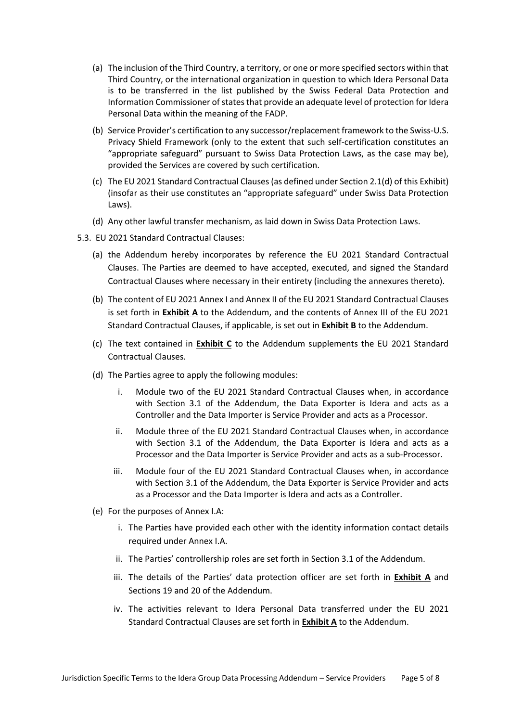- (a) The inclusion of the Third Country, a territory, or one or more specified sectors within that Third Country, or the international organization in question to which Idera Personal Data is to be transferred in the list published by the Swiss Federal Data Protection and Information Commissioner of states that provide an adequate level of protection for Idera Personal Data within the meaning of the FADP.
- (b) Service Provider's certification to any successor/replacement framework to the Swiss-U.S. Privacy Shield Framework (only to the extent that such self-certification constitutes an "appropriate safeguard" pursuant to Swiss Data Protection Laws, as the case may be), provided the Services are covered by such certification.
- (c) The EU 2021 Standard Contractual Clauses (as defined under Section 2.1(d) of this Exhibit) (insofar as their use constitutes an "appropriate safeguard" under Swiss Data Protection Laws).
- (d) Any other lawful transfer mechanism, as laid down in Swiss Data Protection Laws.
- 5.3. EU 2021 Standard Contractual Clauses:
	- (a) the Addendum hereby incorporates by reference the EU 2021 Standard Contractual Clauses. The Parties are deemed to have accepted, executed, and signed the Standard Contractual Clauses where necessary in their entirety (including the annexures thereto).
	- (b) The content of EU 2021 Annex I and Annex II of the EU 2021 Standard Contractual Clauses is set forth in **Exhibit A** to the Addendum, and the contents of Annex III of the EU 2021 Standard Contractual Clauses, if applicable, is set out in **Exhibit B** to the Addendum.
	- (c) The text contained in **Exhibit C** to the Addendum supplements the EU 2021 Standard Contractual Clauses.
	- (d) The Parties agree to apply the following modules:
		- i. Module two of the EU 2021 Standard Contractual Clauses when, in accordance with Section 3.1 of the Addendum, the Data Exporter is Idera and acts as a Controller and the Data Importer is Service Provider and acts as a Processor.
		- ii. Module three of the EU 2021 Standard Contractual Clauses when, in accordance with Section 3.1 of the Addendum, the Data Exporter is Idera and acts as a Processor and the Data Importer is Service Provider and acts as a sub-Processor.
		- iii. Module four of the EU 2021 Standard Contractual Clauses when, in accordance with Section 3.1 of the Addendum, the Data Exporter is Service Provider and acts as a Processor and the Data Importer is Idera and acts as a Controller.
	- (e) For the purposes of Annex I.A:
		- i. The Parties have provided each other with the identity information contact details required under Annex I.A.
		- ii. The Parties' controllership roles are set forth in Section 3.1 of the Addendum.
		- iii. The details of the Parties' data protection officer are set forth in **Exhibit A** and Sections 19 and 20 of the Addendum.
		- iv. The activities relevant to Idera Personal Data transferred under the EU 2021 Standard Contractual Clauses are set forth in **Exhibit A** to the Addendum.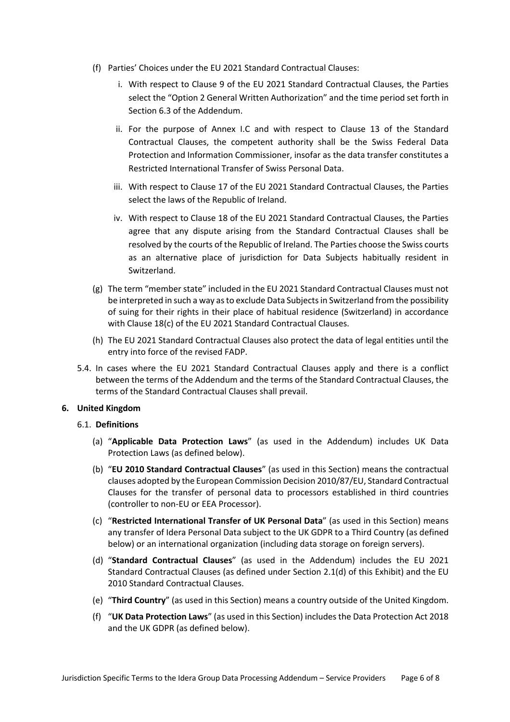- (f) Parties' Choices under the EU 2021 Standard Contractual Clauses:
	- i. With respect to Clause 9 of the EU 2021 Standard Contractual Clauses, the Parties select the "Option 2 General Written Authorization" and the time period set forth in Section 6.3 of the Addendum.
	- ii. For the purpose of Annex I.C and with respect to Clause 13 of the Standard Contractual Clauses, the competent authority shall be the Swiss Federal Data Protection and Information Commissioner, insofar as the data transfer constitutes a Restricted International Transfer of Swiss Personal Data.
	- iii. With respect to Clause 17 of the EU 2021 Standard Contractual Clauses, the Parties select the laws of the Republic of Ireland.
	- iv. With respect to Clause 18 of the EU 2021 Standard Contractual Clauses, the Parties agree that any dispute arising from the Standard Contractual Clauses shall be resolved by the courts of the Republic of Ireland. The Parties choose the Swiss courts as an alternative place of jurisdiction for Data Subjects habitually resident in Switzerland.
- (g) The term "member state" included in the EU 2021 Standard Contractual Clauses must not be interpreted in such a way as to exclude Data Subjects in Switzerland from the possibility of suing for their rights in their place of habitual residence (Switzerland) in accordance with Clause 18(c) of the EU 2021 Standard Contractual Clauses.
- (h) The EU 2021 Standard Contractual Clauses also protect the data of legal entities until the entry into force of the revised FADP.
- 5.4. In cases where the EU 2021 Standard Contractual Clauses apply and there is a conflict between the terms of the Addendum and the terms of the Standard Contractual Clauses, the terms of the Standard Contractual Clauses shall prevail.

#### **6. United Kingdom**

- (a) "**Applicable Data Protection Laws**" (as used in the Addendum) includes UK Data Protection Laws (as defined below).
- (b) "**EU 2010 Standard Contractual Clauses**" (as used in this Section) means the contractual clauses adopted by the European Commission Decision 2010/87/EU, Standard Contractual Clauses for the transfer of personal data to processors established in third countries (controller to non-EU or EEA Processor).
- (c) "**Restricted International Transfer of UK Personal Data**" (as used in this Section) means any transfer of Idera Personal Data subject to the UK GDPR to a Third Country (as defined below) or an international organization (including data storage on foreign servers).
- (d) "**Standard Contractual Clauses**" (as used in the Addendum) includes the EU 2021 Standard Contractual Clauses (as defined under Section 2.1(d) of this Exhibit) and the EU 2010 Standard Contractual Clauses.
- (e) "**Third Country**" (as used in this Section) means a country outside of the United Kingdom.
- (f) "**UK Data Protection Laws**" (as used in this Section) includes the Data Protection Act 2018 and the UK GDPR (as defined below).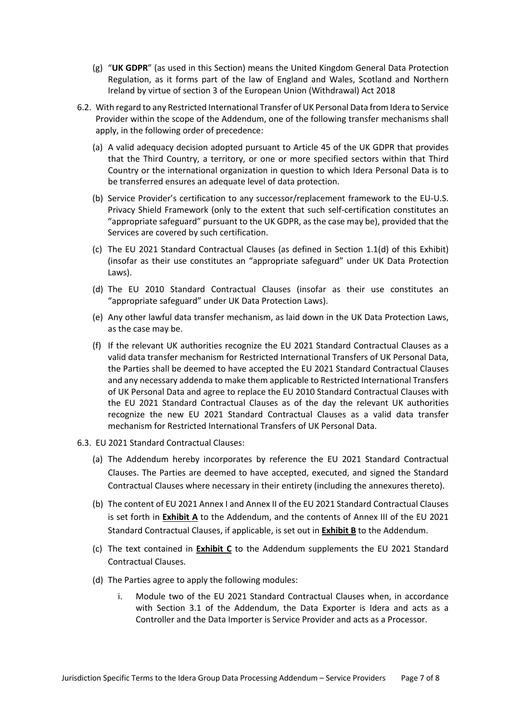- (g) "**UK GDPR**" (as used in this Section) means the United Kingdom General Data Protection Regulation, as it forms part of the law of England and Wales, Scotland and Northern Ireland by virtue of section 3 of the European Union (Withdrawal) Act 2018
- 6.2. With regard to any Restricted International Transfer of UK Personal Data from Idera to Service Provider within the scope of the Addendum, one of the following transfer mechanisms shall apply, in the following order of precedence:
	- (a) A valid adequacy decision adopted pursuant to Article 45 of the UK GDPR that provides that the Third Country, a territory, or one or more specified sectors within that Third Country or the international organization in question to which Idera Personal Data is to be transferred ensures an adequate level of data protection.
	- (b) Service Provider's certification to any successor/replacement framework to the EU-U.S. Privacy Shield Framework (only to the extent that such self-certification constitutes an "appropriate safeguard" pursuant to the UK GDPR, as the case may be), provided that the Services are covered by such certification.
	- (c) The EU 2021 Standard Contractual Clauses (as defined in Section 1.1(d) of this Exhibit) (insofar as their use constitutes an "appropriate safeguard" under UK Data Protection Laws).
	- (d) The EU 2010 Standard Contractual Clauses (insofar as their use constitutes an "appropriate safeguard" under UK Data Protection Laws).
	- (e) Any other lawful data transfer mechanism, as laid down in the UK Data Protection Laws, as the case may be.
	- (f) If the relevant UK authorities recognize the EU 2021 Standard Contractual Clauses as a valid data transfer mechanism for Restricted International Transfers of UK Personal Data, the Parties shall be deemed to have accepted the EU 2021 Standard Contractual Clauses and any necessary addenda to make them applicable to Restricted International Transfers of UK Personal Data and agree to replace the EU 2010 Standard Contractual Clauses with the EU 2021 Standard Contractual Clauses as of the day the relevant UK authorities recognize the new EU 2021 Standard Contractual Clauses as a valid data transfer mechanism for Restricted International Transfers of UK Personal Data.
- 6.3. EU 2021 Standard Contractual Clauses:
	- (a) The Addendum hereby incorporates by reference the EU 2021 Standard Contractual Clauses. The Parties are deemed to have accepted, executed, and signed the Standard Contractual Clauses where necessary in their entirety (including the annexures thereto).
	- (b) The content of EU 2021 Annex I and Annex II of the EU 2021 Standard Contractual Clauses is set forth in **Exhibit A** to the Addendum, and the contents of Annex III of the EU 2021 Standard Contractual Clauses, if applicable, is set out in **Exhibit B** to the Addendum.
	- (c) The text contained in **Exhibit C** to the Addendum supplements the EU 2021 Standard Contractual Clauses.
	- (d) The Parties agree to apply the following modules:
		- i. Module two of the EU 2021 Standard Contractual Clauses when, in accordance with Section 3.1 of the Addendum, the Data Exporter is Idera and acts as a Controller and the Data Importer is Service Provider and acts as a Processor.